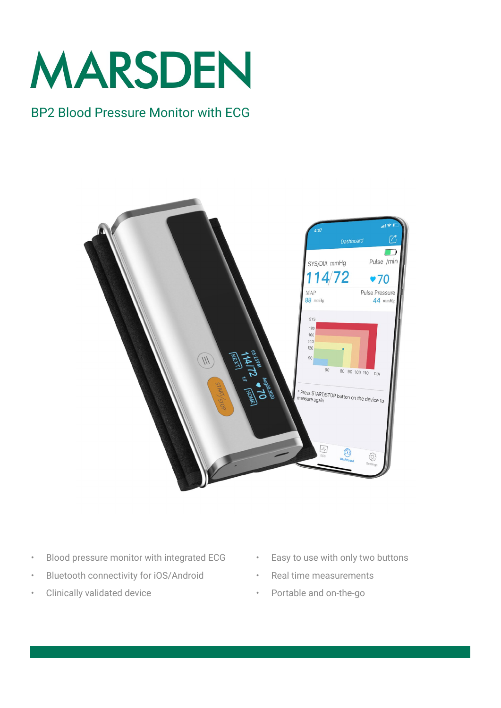

## BP2 Blood Pressure Monitor with ECG



- Blood pressure monitor with integrated ECG
- Bluetooth connectivity for iOS/Android
- Clinically validated device
- Easy to use with only two buttons
	- Real time measurements
	- Portable and on-the-go